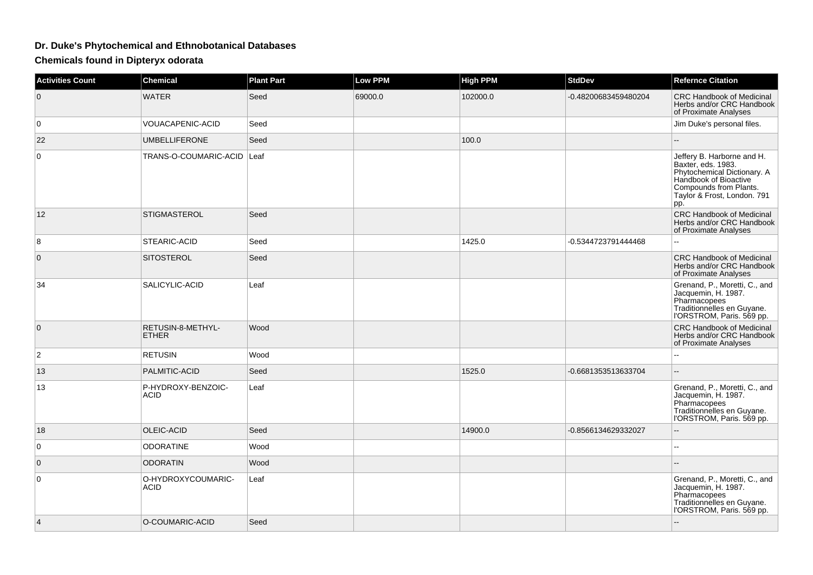## **Dr. Duke's Phytochemical and Ethnobotanical Databases**

**Chemicals found in Dipteryx odorata**

| <b>Activities Count</b> | <b>Chemical</b>                   | <b>Plant Part</b> | <b>Low PPM</b> | <b>High PPM</b> | <b>StdDev</b>        | <b>Refernce Citation</b>                                                                                                                                                 |
|-------------------------|-----------------------------------|-------------------|----------------|-----------------|----------------------|--------------------------------------------------------------------------------------------------------------------------------------------------------------------------|
| $\mathbf{0}$            | <b>WATER</b>                      | Seed              | 69000.0        | 102000.0        | -0.48200683459480204 | <b>CRC Handbook of Medicinal</b><br>Herbs and/or CRC Handbook<br>of Proximate Analyses                                                                                   |
| $\overline{0}$          | VOUACAPENIC-ACID                  | Seed              |                |                 |                      | Jim Duke's personal files.                                                                                                                                               |
| 22                      | <b>UMBELLIFERONE</b>              | Seed              |                | 100.0           |                      |                                                                                                                                                                          |
| $\mathbf 0$             | TRANS-O-COUMARIC-ACID Leaf        |                   |                |                 |                      | Jeffery B. Harborne and H.<br>Baxter, eds. 1983.<br>Phytochemical Dictionary. A<br>Handbook of Bioactive<br>Compounds from Plants.<br>Taylor & Frost, London. 791<br>pp. |
| 12                      | <b>STIGMASTEROL</b>               | Seed              |                |                 |                      | <b>CRC Handbook of Medicinal</b><br>Herbs and/or CRC Handbook<br>of Proximate Analyses                                                                                   |
| 8                       | STEARIC-ACID                      | Seed              |                | 1425.0          | -0.5344723791444468  |                                                                                                                                                                          |
| $\mathbf 0$             | <b>SITOSTEROL</b>                 | Seed              |                |                 |                      | <b>CRC Handbook of Medicinal</b><br>Herbs and/or CRC Handbook<br>of Proximate Analyses                                                                                   |
| 34                      | SALICYLIC-ACID                    | Leaf              |                |                 |                      | Grenand, P., Moretti, C., and<br>Jacquemin, H. 1987.<br>Pharmacopees<br>Traditionnelles en Guyane.<br> 'ORSTROM, Paris. 569 pp.                                          |
| $\mathbf{0}$            | RETUSIN-8-METHYL-<br><b>ETHER</b> | Wood              |                |                 |                      | <b>CRC Handbook of Medicinal</b><br>Herbs and/or CRC Handbook<br>of Proximate Analyses                                                                                   |
| $\mathbf{2}$            | <b>RETUSIN</b>                    | Wood              |                |                 |                      | ۵.                                                                                                                                                                       |
| 13                      | PALMITIC-ACID                     | Seed              |                | 1525.0          | -0.6681353513633704  | Ш.                                                                                                                                                                       |
| 13                      | P-HYDROXY-BENZOIC-<br><b>ACID</b> | Leaf              |                |                 |                      | Grenand, P., Moretti, C., and<br>Jacquemin, H. 1987.<br>Pharmacopees<br>Traditionnelles en Guyane.<br>l'ORSTROM, Paris. 569 pp.                                          |
| 18                      | <b>OLEIC-ACID</b>                 | Seed              |                | 14900.0         | -0.8566134629332027  | --                                                                                                                                                                       |
| $\mathbf 0$             | <b>ODORATINE</b>                  | Wood              |                |                 |                      | ц.                                                                                                                                                                       |
| $\mathbf{0}$            | <b>ODORATIN</b>                   | Wood              |                |                 |                      |                                                                                                                                                                          |
| $\mathbf 0$             | O-HYDROXYCOUMARIC-<br>ACID        | Leaf              |                |                 |                      | Grenand, P., Moretti, C., and<br>Jacquemin, H. 1987.<br>Pharmacopees<br>Traditionnelles en Guyane.<br>l'ORSTROM, Paris. 569 pp.                                          |
| $\overline{4}$          | O-COUMARIC-ACID                   | Seed              |                |                 |                      |                                                                                                                                                                          |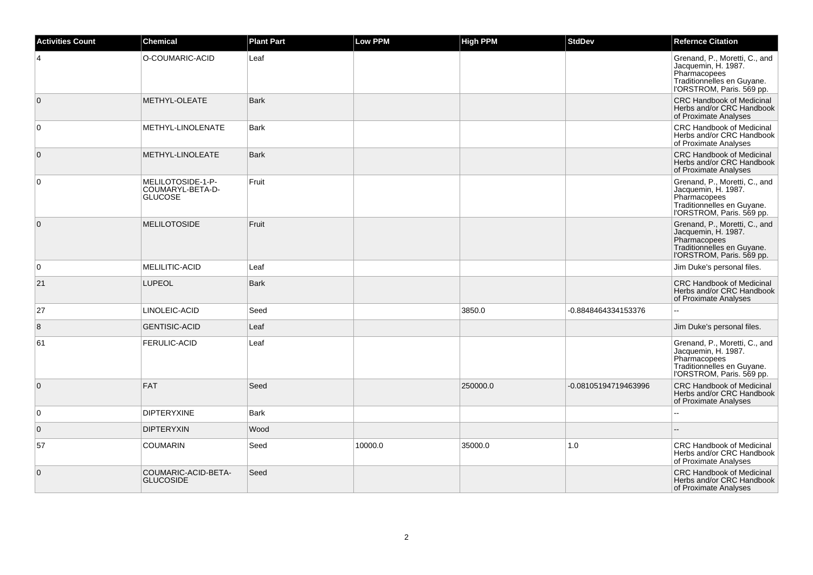| <b>Activities Count</b> | <b>Chemical</b>                                         | <b>Plant Part</b> | Low PPM | <b>High PPM</b> | <b>StdDev</b>        | <b>Refernce Citation</b>                                                                                                        |
|-------------------------|---------------------------------------------------------|-------------------|---------|-----------------|----------------------|---------------------------------------------------------------------------------------------------------------------------------|
| $\overline{4}$          | O-COUMARIC-ACID                                         | Leaf              |         |                 |                      | Grenand, P., Moretti, C., and<br>Jacquemin, H. 1987.<br>Pharmacopees<br>Traditionnelles en Guyane.<br>l'ORSTROM, Paris. 569 pp. |
| $\mathbf 0$             | METHYL-OLEATE                                           | <b>Bark</b>       |         |                 |                      | <b>CRC Handbook of Medicinal</b><br>Herbs and/or CRC Handbook<br>of Proximate Analyses                                          |
| $\mathbf 0$             | METHYL-LINOLENATE                                       | <b>Bark</b>       |         |                 |                      | <b>CRC Handbook of Medicinal</b><br>Herbs and/or CRC Handbook<br>of Proximate Analyses                                          |
| $\mathbf{0}$            | METHYL-LINOLEATE                                        | <b>Bark</b>       |         |                 |                      | <b>CRC Handbook of Medicinal</b><br>Herbs and/or CRC Handbook<br>of Proximate Analyses                                          |
| 0                       | MELILOTOSIDE-1-P-<br>COUMARYL-BETA-D-<br><b>GLUCOSE</b> | Fruit             |         |                 |                      | Grenand, P., Moretti, C., and<br>Jacquemin, H. 1987.<br>Pharmacopees<br>Traditionnelles en Guyane.<br>l'ORSTROM, Paris. 569 pp. |
| $\overline{0}$          | <b>MELILOTOSIDE</b>                                     | Fruit             |         |                 |                      | Grenand, P., Moretti, C., and<br>Jacquemin, H. 1987.<br>Pharmacopees<br>Traditionnelles en Guyane.<br>l'ORSTROM, Paris. 569 pp. |
| $\mathbf 0$             | MELILITIC-ACID                                          | Leaf              |         |                 |                      | Jim Duke's personal files.                                                                                                      |
| 21                      | <b>LUPEOL</b>                                           | <b>Bark</b>       |         |                 |                      | <b>CRC Handbook of Medicinal</b><br>Herbs and/or CRC Handbook<br>of Proximate Analyses                                          |
| 27                      | LINOLEIC-ACID                                           | Seed              |         | 3850.0          | -0.8848464334153376  | ۵۵                                                                                                                              |
| 8                       | <b>GENTISIC-ACID</b>                                    | Leaf              |         |                 |                      | Jim Duke's personal files.                                                                                                      |
| 61                      | <b>FERULIC-ACID</b>                                     | Leaf              |         |                 |                      | Grenand, P., Moretti, C., and<br>Jacquemin, H. 1987.<br>Pharmacopees<br>Traditionnelles en Guyane.<br>l'ORSTROM, Paris. 569 pp. |
| $\overline{0}$          | <b>FAT</b>                                              | Seed              |         | 250000.0        | -0.08105194719463996 | <b>CRC Handbook of Medicinal</b><br>Herbs and/or CRC Handbook<br>of Proximate Analyses                                          |
| $\mathbf 0$             | <b>DIPTERYXINE</b>                                      | <b>Bark</b>       |         |                 |                      |                                                                                                                                 |
| $\mathbf 0$             | <b>DIPTERYXIN</b>                                       | Wood              |         |                 |                      |                                                                                                                                 |
| 57                      | <b>COUMARIN</b>                                         | Seed              | 10000.0 | 35000.0         | 1.0                  | <b>CRC Handbook of Medicinal</b><br>Herbs and/or CRC Handbook<br>of Proximate Analyses                                          |
| $\mathbf 0$             | COUMARIC-ACID-BETA-<br><b>GLUCOSIDE</b>                 | Seed              |         |                 |                      | <b>CRC Handbook of Medicinal</b><br>Herbs and/or CRC Handbook<br>of Proximate Analyses                                          |